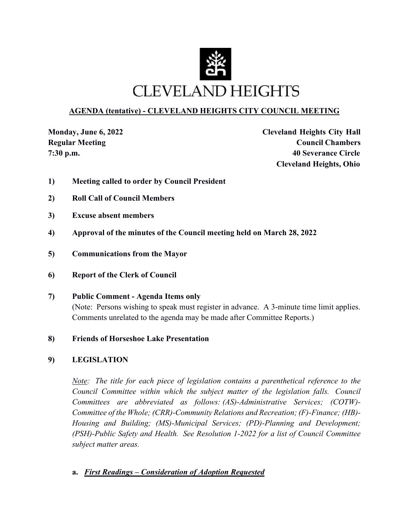

## **AGENDA (tentative) - CLEVELAND HEIGHTS CITY COUNCIL MEETING**

**Monday, June 6, 2022 Cleveland Heights City Hall Regular Meeting Council Chambers Council Chambers 7:30 p.m. 40 Severance Circle Cleveland Heights, Ohio**

- **1) Meeting called to order by Council President**
- **2) Roll Call of Council Members**
- **3) Excuse absent members**
- **4) Approval of the minutes of the Council meeting held on March 28, 2022**
- **5) Communications from the Mayor**
- **6) Report of the Clerk of Council**
- **7) Public Comment Agenda Items only**  (Note: Persons wishing to speak must register in advance. A 3-minute time limit applies. Comments unrelated to the agenda may be made after Committee Reports.)
- **8) Friends of Horseshoe Lake Presentation**

#### **9) LEGISLATION**

*Note:* The title for each piece of legislation contains a parenthetical reference to the *Council Committee within which the subject matter of the legislation falls. Council Committees are abbreviated as follows: (AS)-Administrative Services; (COTW)- Committee of the Whole; (CRR)-Community Relations and Recreation; (F)-Finance; (HB)- Housing and Building; (MS)-Municipal Services; (PD)-Planning and Development; (PSH)-Public Safety and Health. See Resolution 1-2022 for a list of Council Committee subject matter areas.* 

**a.** *First Readings – Consideration of Adoption Requested*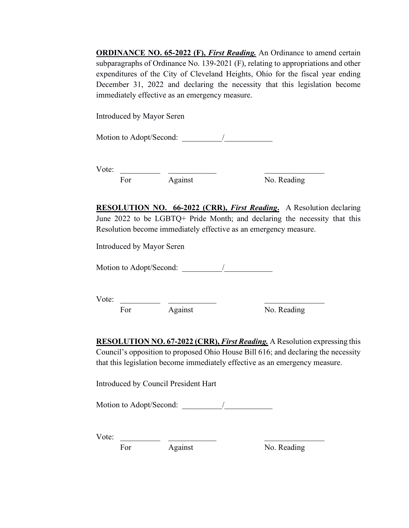**ORDINANCE NO. 65-2022 (F),** *First Reading*. An Ordinance to amend certain subparagraphs of Ordinance No. 139-2021 (F), relating to appropriations and other expenditures of the City of Cleveland Heights, Ohio for the fiscal year ending December 31, 2022 and declaring the necessity that this legislation become immediately effective as an emergency measure.

Introduced by Mayor Seren

Motion to Adopt/Second:  $\frac{1}{2}$ 

Vote: \_\_\_\_\_\_\_\_\_\_ \_\_\_\_\_\_\_\_\_\_\_\_ \_\_\_\_\_\_\_\_\_\_\_\_\_\_\_ For Against No. Reading

**RESOLUTION NO. 66-2022 (CRR),** *First Reading***.** A Resolution declaring June 2022 to be LGBTQ+ Pride Month; and declaring the necessity that this Resolution become immediately effective as an emergency measure.

Introduced by Mayor Seren

Motion to Adopt/Second: \_\_\_\_\_\_\_\_\_\_/\_\_\_\_\_\_\_\_\_\_\_\_

Vote: \_\_\_\_\_\_\_\_\_\_ \_\_\_\_\_\_\_\_\_\_\_\_ \_\_\_\_\_\_\_\_\_\_\_\_\_\_\_

For Against No. Reading

**RESOLUTION NO. 67-2022 (CRR),** *First Reading.* A Resolution expressing this Council's opposition to proposed Ohio House Bill 616; and declaring the necessity that this legislation become immediately effective as an emergency measure.

Introduced by Council President Hart

Motion to Adopt/Second: \_\_\_\_\_\_\_\_\_\_/\_\_\_\_\_\_\_\_\_\_\_\_

Vote: \_\_\_\_\_\_\_\_\_\_ \_\_\_\_\_\_\_\_\_\_\_\_ \_\_\_\_\_\_\_\_\_\_\_\_\_\_\_

For Against No. Reading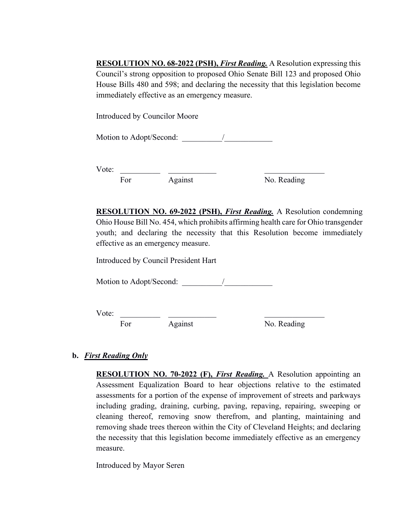**RESOLUTION NO. 68-2022 (PSH),** *First Reading.* A Resolution expressing this Council's strong opposition to proposed Ohio Senate Bill 123 and proposed Ohio House Bills 480 and 598; and declaring the necessity that this legislation become immediately effective as an emergency measure.

Introduced by Councilor Moore

Motion to Adopt/Second:

Vote: \_\_\_\_\_\_\_\_\_\_ \_\_\_\_\_\_\_\_\_\_\_\_ \_\_\_\_\_\_\_\_\_\_\_\_\_\_\_ For Against No. Reading

**RESOLUTION NO. 69-2022 (PSH),** *First Reading.* A Resolution condemning Ohio House Bill No. 454, which prohibits affirming health care for Ohio transgender youth; and declaring the necessity that this Resolution become immediately effective as an emergency measure.

Introduced by Council President Hart

Motion to Adopt/Second:  $\frac{1}{2}$ 

Vote: \_\_\_\_\_\_\_\_\_\_ \_\_\_\_\_\_\_\_\_\_\_\_ \_\_\_\_\_\_\_\_\_\_\_\_\_\_\_ For Against No. Reading

#### **b.** *First Reading Only*

**RESOLUTION NO. 70-2022 (F),** *First Reading.* A Resolution appointing an Assessment Equalization Board to hear objections relative to the estimated assessments for a portion of the expense of improvement of streets and parkways including grading, draining, curbing, paving, repaving, repairing, sweeping or cleaning thereof, removing snow therefrom, and planting, maintaining and removing shade trees thereon within the City of Cleveland Heights; and declaring the necessity that this legislation become immediately effective as an emergency measure.

Introduced by Mayor Seren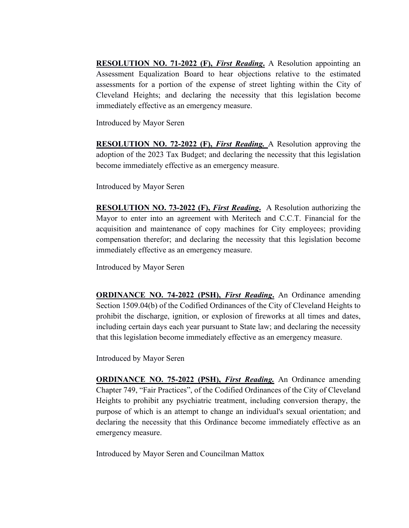**RESOLUTION NO. 71-2022 (F),** *First Reading***.** A Resolution appointing an Assessment Equalization Board to hear objections relative to the estimated assessments for a portion of the expense of street lighting within the City of Cleveland Heights; and declaring the necessity that this legislation become immediately effective as an emergency measure.

Introduced by Mayor Seren

**RESOLUTION NO. 72-2022 (F),** *First Reading.* A Resolution approving the adoption of the 2023 Tax Budget; and declaring the necessity that this legislation become immediately effective as an emergency measure.

Introduced by Mayor Seren

**RESOLUTION NO. 73-2022 (F),** *First Reading***.** A Resolution authorizing the Mayor to enter into an agreement with Meritech and C.C.T. Financial for the acquisition and maintenance of copy machines for City employees; providing compensation therefor; and declaring the necessity that this legislation become immediately effective as an emergency measure.

Introduced by Mayor Seren

**ORDINANCE NO. 74-2022 (PSH),** *First Reading***.** An Ordinance amending Section 1509.04(b) of the Codified Ordinances of the City of Cleveland Heights to prohibit the discharge, ignition, or explosion of fireworks at all times and dates, including certain days each year pursuant to State law; and declaring the necessity that this legislation become immediately effective as an emergency measure.

Introduced by Mayor Seren

**ORDINANCE NO. 75-2022 (PSH),** *First Reading.* An Ordinance amending Chapter 749, "Fair Practices", of the Codified Ordinances of the City of Cleveland Heights to prohibit any psychiatric treatment, including conversion therapy, the purpose of which is an attempt to change an individual's sexual orientation; and declaring the necessity that this Ordinance become immediately effective as an emergency measure.

Introduced by Mayor Seren and Councilman Mattox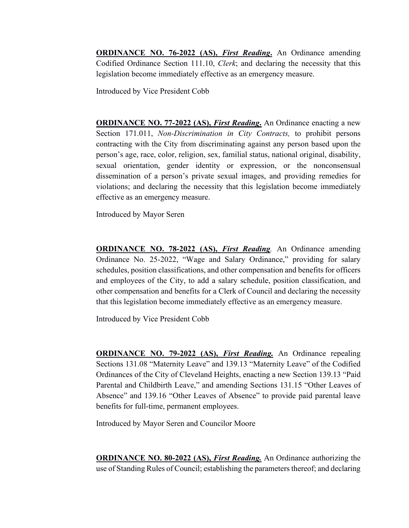**ORDINANCE NO. 76-2022 (AS),** *First Reading***.** An Ordinance amending Codified Ordinance Section 111.10, *Clerk*; and declaring the necessity that this legislation become immediately effective as an emergency measure.

Introduced by Vice President Cobb

**ORDINANCE NO. 77-2022 (AS),** *First Reading***.** An Ordinance enacting a new Section 171.011, *Non-Discrimination in City Contracts,* to prohibit persons contracting with the City from discriminating against any person based upon the person's age, race, color, religion, sex, familial status, national original, disability, sexual orientation, gender identity or expression, or the nonconsensual dissemination of a person's private sexual images, and providing remedies for violations; and declaring the necessity that this legislation become immediately effective as an emergency measure.

Introduced by Mayor Seren

**ORDINANCE NO. 78-2022 (AS),** *First Reading.* An Ordinance amending Ordinance No. 25-2022, "Wage and Salary Ordinance," providing for salary schedules, position classifications, and other compensation and benefits for officers and employees of the City, to add a salary schedule, position classification, and other compensation and benefits for a Clerk of Council and declaring the necessity that this legislation become immediately effective as an emergency measure.

Introduced by Vice President Cobb

**ORDINANCE NO. 79-2022 (AS),** *First Reading.* An Ordinance repealing Sections 131.08 "Maternity Leave" and 139.13 "Maternity Leave" of the Codified Ordinances of the City of Cleveland Heights, enacting a new Section 139.13 "Paid Parental and Childbirth Leave," and amending Sections 131.15 "Other Leaves of Absence" and 139.16 "Other Leaves of Absence" to provide paid parental leave benefits for full-time, permanent employees.

Introduced by Mayor Seren and Councilor Moore

**ORDINANCE NO. 80-2022 (AS),** *First Reading.* An Ordinance authorizing the use of Standing Rules of Council; establishing the parameters thereof; and declaring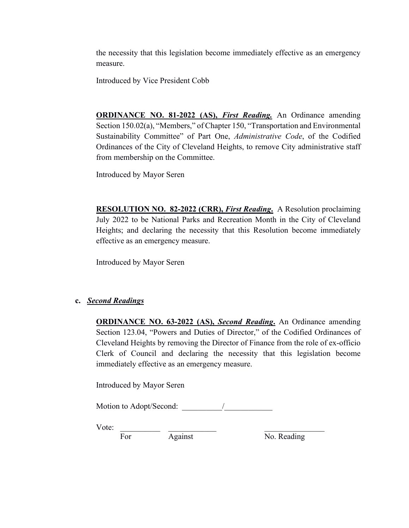the necessity that this legislation become immediately effective as an emergency measure.

Introduced by Vice President Cobb

**ORDINANCE NO. 81-2022 (AS),** *First Reading.* An Ordinance amending Section 150.02(a), "Members," of Chapter 150, "Transportation and Environmental Sustainability Committee" of Part One, *Administrative Code*, of the Codified Ordinances of the City of Cleveland Heights, to remove City administrative staff from membership on the Committee.

Introduced by Mayor Seren

**RESOLUTION NO. 82-2022 (CRR),** *First Reading***.** A Resolution proclaiming July 2022 to be National Parks and Recreation Month in the City of Cleveland Heights; and declaring the necessity that this Resolution become immediately effective as an emergency measure.

Introduced by Mayor Seren

## **c.** *Second Readings*

**ORDINANCE NO. 63-2022 (AS),** *Second Reading***.** An Ordinance amending Section 123.04, "Powers and Duties of Director," of the Codified Ordinances of Cleveland Heights by removing the Director of Finance from the role of ex-officio Clerk of Council and declaring the necessity that this legislation become immediately effective as an emergency measure.

Introduced by Mayor Seren

Motion to Adopt/Second: <u>\_\_\_\_\_\_\_\_\_\_\_\_\_</u> /

Vote: \_\_\_\_\_\_\_\_\_\_ \_\_\_\_\_\_\_\_\_\_\_\_ \_\_\_\_\_\_\_\_\_\_\_\_\_\_\_

For Against No. Reading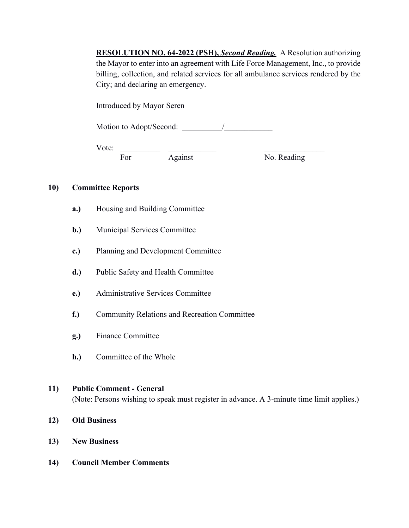**RESOLUTION NO. 64-2022 (PSH),** *Second Reading.* A Resolution authorizing the Mayor to enter into an agreement with Life Force Management, Inc., to provide billing, collection, and related services for all ambulance services rendered by the City; and declaring an emergency.

Introduced by Mayor Seren

Motion to Adopt/Second:  $\qquad \qquad /$ 

Vote:

For Against No. Reading

## **10) Committee Reports**

- **a.)** Housing and Building Committee
- **b.)** Municipal Services Committee
- **c.)** Planning and Development Committee
- **d.)** Public Safety and Health Committee
- **e.)** Administrative Services Committee
- **f.)** Community Relations and Recreation Committee
- **g.)** Finance Committee
- **h.)** Committee of the Whole

## **11) Public Comment - General**

(Note: Persons wishing to speak must register in advance. A 3-minute time limit applies.)

- **12) Old Business**
- **13) New Business**
- **14) Council Member Comments**